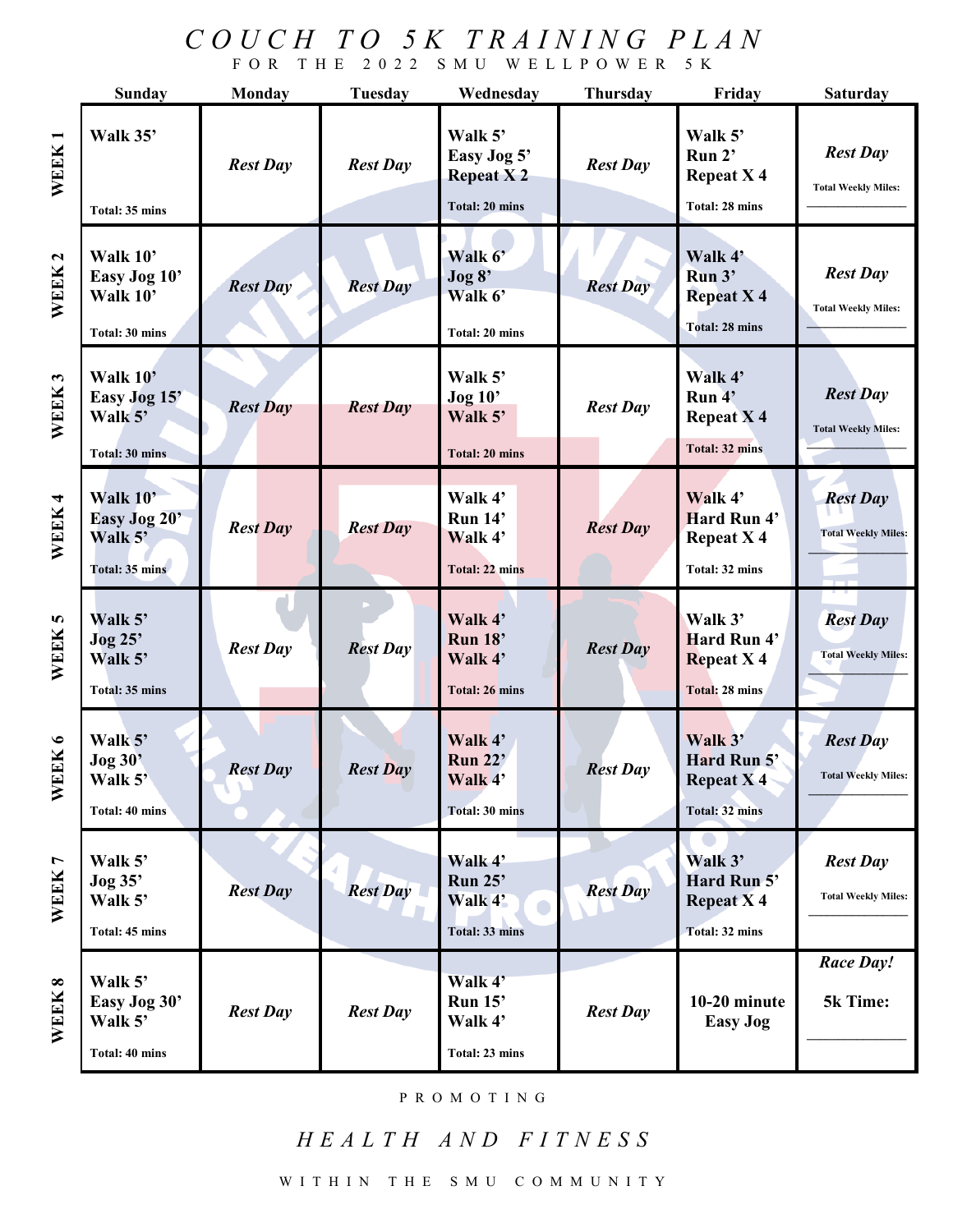## *C O U C H T O 5 K T R A I N I N G P L A N* F O R T H E 2 0 2 2 S M U W E L L P O W E R 5 K

|                   | <b>Sunday</b>                                          | <b>Monday</b>   | Tuesday         | Wednesday                                                           | <b>Thursday</b> | Friday                                                                | <b>Saturday</b>                               |
|-------------------|--------------------------------------------------------|-----------------|-----------------|---------------------------------------------------------------------|-----------------|-----------------------------------------------------------------------|-----------------------------------------------|
| WEEK1             | Walk 35'<br>Total: 35 mins                             | <b>Rest Day</b> | <b>Rest Day</b> | Walk 5'<br>Easy Jog 5'<br><b>Repeat X2</b><br><b>Total: 20 mins</b> | <b>Rest Day</b> | Walk 5'<br>Run 2'<br><b>Repeat X4</b><br>Total: 28 mins               | <b>Rest Day</b><br><b>Total Weekly Miles:</b> |
| WEEK <sub>2</sub> | Walk 10'<br>Easy Jog 10'<br>Walk 10'<br>Total: 30 mins | <b>Rest Day</b> | <b>Rest Day</b> | Walk 6'<br>Jog 8'<br>Walk 6'<br><b>Total: 20 mins</b>               | <b>Rest Day</b> | Walk 4'<br>Run 3'<br><b>Repeat X 4</b><br><b>Total: 28 mins</b>       | <b>Rest Day</b><br><b>Total Weekly Miles:</b> |
| WEEK <sub>3</sub> | Walk 10'<br>Easy Jog 15'<br>Walk 5'<br>Total: 30 mins  | <b>Rest Day</b> | <b>Rest Day</b> | Walk 5'<br><b>Jog 10'</b><br>Walk 5'<br><b>Total: 20 mins</b>       | <b>Rest Day</b> | Walk 4'<br>Run 4'<br><b>Repeat X4</b><br>Total: 32 mins               | <b>Rest Day</b><br><b>Total Weekly Miles:</b> |
| WEEK 4            | Walk 10'<br>Easy Jog 20'<br>Walk 5'<br>Total: 35 mins  | <b>Rest Day</b> | <b>Rest Day</b> | Walk 4'<br>Run 14'<br>Walk 4'<br>Total: 22 mins                     | <b>Rest Day</b> | Walk 4'<br>Hard Run 4'<br><b>Repeat X4</b><br>Total: 32 mins          | <b>Rest Day</b><br><b>Total Weekly Miles:</b> |
| WEEK 5            | Walk 5'<br>Jog 25'<br>Walk 5'<br>Total: 35 mins        | <b>Rest Day</b> | <b>Rest Day</b> | Walk 4'<br>Run 18'<br>Walk 4'<br><b>Total: 26 mins</b>              | <b>Rest Day</b> | Walk 3'<br>Hard Run 4'<br><b>Repeat X4</b><br>Total: 28 mins          | <b>Rest Day</b><br><b>Total Weekly Miles:</b> |
| WEEK 6            | Walk 5'<br><b>Jog 30'</b><br>Walk 5'<br>Total: 40 mins | <b>Rest Day</b> | <b>Rest Day</b> | Walk 4'<br><b>Run 22'</b><br>Walk 4'<br><b>Total: 30 mins</b>       | <b>Rest Day</b> | Walk 3'<br>Hard Run 5'<br>Repeat $\bar{X}$ 4<br><b>Total: 32 mins</b> | <b>Rest Day</b><br><b>Total Weekly Miles:</b> |
| WEEK 7            | Walk 5'<br>Jog 35'<br>Walk 5'<br>Total: 45 mins        | <b>Rest Day</b> | <b>Rest Day</b> | Walk 4'<br>Run $25$ '<br>Walk 4'<br>o<br>Total: 33 mins             | <b>Rest Day</b> | Walk 3'<br>Hard Run 5'<br><b>Repeat X4</b><br><b>Total: 32 mins</b>   | <b>Rest Day</b><br><b>Total Weekly Miles:</b> |
| WEEK 8            | Walk 5'<br>Easy Jog 30'<br>Walk 5'<br>Total: 40 mins   | <b>Rest Day</b> | <b>Rest Day</b> | Walk 4'<br>Run 15'<br>Walk 4'<br>Total: 23 mins                     | <b>Rest Day</b> | 10-20 minute<br><b>Easy Jog</b>                                       | <b>Race Day!</b><br>5k Time:                  |

## P R O M O T I N G

## *H E A L T H A N D F I T N E S S*

W I T H I N T H E S M U C O M M U N I T Y